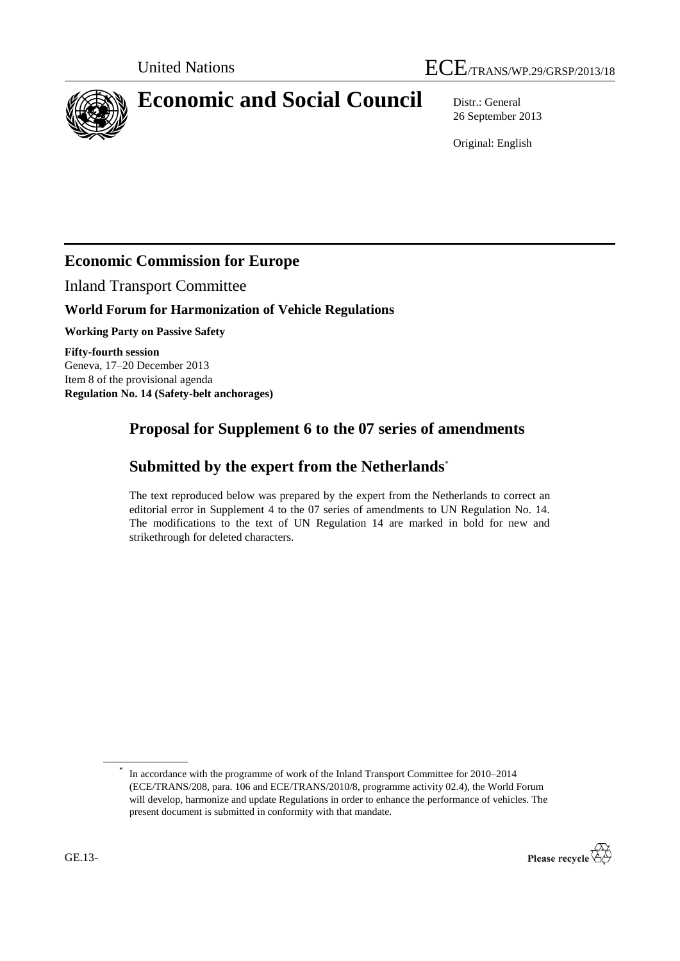

# **Economic and Social Council** Distr.: General

26 September 2013

Original: English

## **Economic Commission for Europe**

Inland Transport Committee

### **World Forum for Harmonization of Vehicle Regulations**

**Working Party on Passive Safety**

**Fifty-fourth session** Geneva, 17–20 December 2013 Item 8 of the provisional agenda **Regulation No. 14 (Safety-belt anchorages)**

## **Proposal for Supplement 6 to the 07 series of amendments**

## **Submitted by the expert from the Netherlands**\*

The text reproduced below was prepared by the expert from the Netherlands to correct an editorial error in Supplement 4 to the 07 series of amendments to UN Regulation No. 14. The modifications to the text of UN Regulation 14 are marked in bold for new and strikethrough for deleted characters.

<sup>\*</sup> In accordance with the programme of work of the Inland Transport Committee for 2010–2014 (ECE/TRANS/208, para. 106 and ECE/TRANS/2010/8, programme activity 02.4), the World Forum will develop, harmonize and update Regulations in order to enhance the performance of vehicles. The present document is submitted in conformity with that mandate.